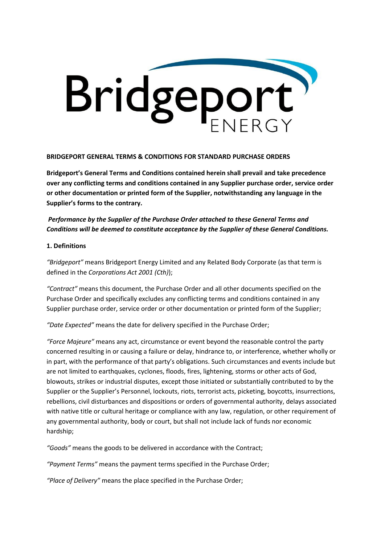

#### **BRIDGEPORT GENERAL TERMS & CONDITIONS FOR STANDARD PURCHASE ORDERS**

**Bridgeport's General Terms and Conditions contained herein shall prevail and take precedence over any conflicting terms and conditions contained in any Supplier purchase order, service order or other documentation or printed form of the Supplier, notwithstanding any language in the Supplier's forms to the contrary.**

# *Performance by the Supplier of the Purchase Order attached to these General Terms and Conditions will be deemed to constitute acceptance by the Supplier of these General Conditions.*

### **1. Definitions**

*"Bridgeport"* means Bridgeport Energy Limited and any Related Body Corporate (as that term is defined in the *Corporations Act 2001 (Cth)*);

*"Contract"* means this document, the Purchase Order and all other documents specified on the Purchase Order and specifically excludes any conflicting terms and conditions contained in any Supplier purchase order, service order or other documentation or printed form of the Supplier;

*"Date Expected"* means the date for delivery specified in the Purchase Order;

*"Force Majeure"* means any act, circumstance or event beyond the reasonable control the party concerned resulting in or causing a failure or delay, hindrance to, or interference, whether wholly or in part, with the performance of that party's obligations. Such circumstances and events include but are not limited to earthquakes, cyclones, floods, fires, lightening, storms or other acts of God, blowouts, strikes or industrial disputes, except those initiated or substantially contributed to by the Supplier or the Supplier's Personnel, lockouts, riots, terrorist acts, picketing, boycotts, insurrections, rebellions, civil disturbances and dispositions or orders of governmental authority, delays associated with native title or cultural heritage or compliance with any law, regulation, or other requirement of any governmental authority, body or court, but shall not include lack of funds nor economic hardship;

*"Goods"* means the goods to be delivered in accordance with the Contract;

*"Payment Terms"* means the payment terms specified in the Purchase Order;

*"Place of Delivery"* means the place specified in the Purchase Order;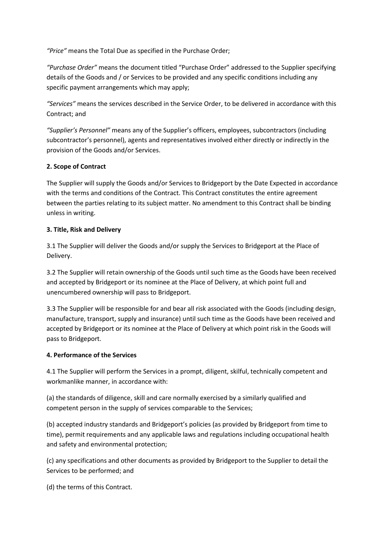*"Price"* means the Total Due as specified in the Purchase Order;

*"Purchase Order"* means the document titled "Purchase Order" addressed to the Supplier specifying details of the Goods and / or Services to be provided and any specific conditions including any specific payment arrangements which may apply;

*"Services"* means the services described in the Service Order, to be delivered in accordance with this Contract; and

*"Supplier's Personnel"* means any of the Supplier's officers, employees, subcontractors (including subcontractor's personnel), agents and representatives involved either directly or indirectly in the provision of the Goods and/or Services.

### **2. Scope of Contract**

The Supplier will supply the Goods and/or Services to Bridgeport by the Date Expected in accordance with the terms and conditions of the Contract. This Contract constitutes the entire agreement between the parties relating to its subject matter. No amendment to this Contract shall be binding unless in writing.

### **3. Title, Risk and Delivery**

3.1 The Supplier will deliver the Goods and/or supply the Services to Bridgeport at the Place of Delivery.

3.2 The Supplier will retain ownership of the Goods until such time as the Goods have been received and accepted by Bridgeport or its nominee at the Place of Delivery, at which point full and unencumbered ownership will pass to Bridgeport.

3.3 The Supplier will be responsible for and bear all risk associated with the Goods (including design, manufacture, transport, supply and insurance) until such time as the Goods have been received and accepted by Bridgeport or its nominee at the Place of Delivery at which point risk in the Goods will pass to Bridgeport.

# **4. Performance of the Services**

4.1 The Supplier will perform the Services in a prompt, diligent, skilful, technically competent and workmanlike manner, in accordance with:

(a) the standards of diligence, skill and care normally exercised by a similarly qualified and competent person in the supply of services comparable to the Services;

(b) accepted industry standards and Bridgeport's policies (as provided by Bridgeport from time to time), permit requirements and any applicable laws and regulations including occupational health and safety and environmental protection;

(c) any specifications and other documents as provided by Bridgeport to the Supplier to detail the Services to be performed; and

(d) the terms of this Contract.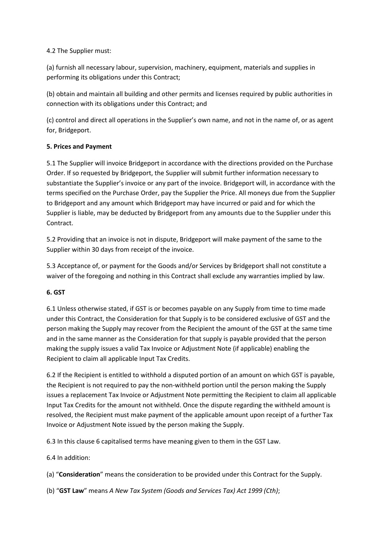### 4.2 The Supplier must:

(a) furnish all necessary labour, supervision, machinery, equipment, materials and supplies in performing its obligations under this Contract;

(b) obtain and maintain all building and other permits and licenses required by public authorities in connection with its obligations under this Contract; and

(c) control and direct all operations in the Supplier's own name, and not in the name of, or as agent for, Bridgeport.

# **5. Prices and Payment**

5.1 The Supplier will invoice Bridgeport in accordance with the directions provided on the Purchase Order. If so requested by Bridgeport, the Supplier will submit further information necessary to substantiate the Supplier's invoice or any part of the invoice. Bridgeport will, in accordance with the terms specified on the Purchase Order, pay the Supplier the Price. All moneys due from the Supplier to Bridgeport and any amount which Bridgeport may have incurred or paid and for which the Supplier is liable, may be deducted by Bridgeport from any amounts due to the Supplier under this Contract.

5.2 Providing that an invoice is not in dispute, Bridgeport will make payment of the same to the Supplier within 30 days from receipt of the invoice.

5.3 Acceptance of, or payment for the Goods and/or Services by Bridgeport shall not constitute a waiver of the foregoing and nothing in this Contract shall exclude any warranties implied by law.

# **6. GST**

6.1 Unless otherwise stated, if GST is or becomes payable on any Supply from time to time made under this Contract, the Consideration for that Supply is to be considered exclusive of GST and the person making the Supply may recover from the Recipient the amount of the GST at the same time and in the same manner as the Consideration for that supply is payable provided that the person making the supply issues a valid Tax Invoice or Adjustment Note (if applicable) enabling the Recipient to claim all applicable Input Tax Credits.

6.2 If the Recipient is entitled to withhold a disputed portion of an amount on which GST is payable, the Recipient is not required to pay the non-withheld portion until the person making the Supply issues a replacement Tax Invoice or Adjustment Note permitting the Recipient to claim all applicable Input Tax Credits for the amount not withheld. Once the dispute regarding the withheld amount is resolved, the Recipient must make payment of the applicable amount upon receipt of a further Tax Invoice or Adjustment Note issued by the person making the Supply.

6.3 In this clause 6 capitalised terms have meaning given to them in the GST Law.

6.4 In addition:

(a) "**Consideration**" means the consideration to be provided under this Contract for the Supply.

(b) "**GST Law**" means *A New Tax System (Goods and Services Tax) Act 1999 (Cth)*;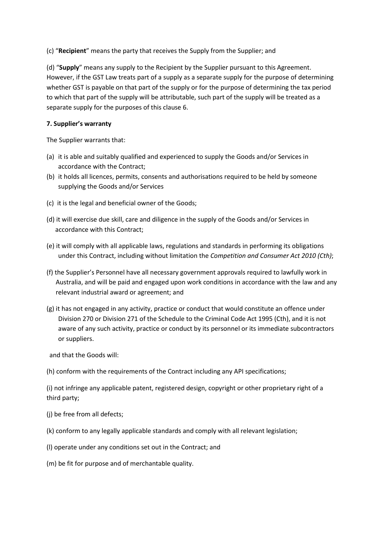(c) "**Recipient**" means the party that receives the Supply from the Supplier; and

(d) "**Supply**" means any supply to the Recipient by the Supplier pursuant to this Agreement. However, if the GST Law treats part of a supply as a separate supply for the purpose of determining whether GST is payable on that part of the supply or for the purpose of determining the tax period to which that part of the supply will be attributable, such part of the supply will be treated as a separate supply for the purposes of this clause 6.

### **7. Supplier's warranty**

The Supplier warrants that:

- (a) it is able and suitably qualified and experienced to supply the Goods and/or Services in accordance with the Contract;
- (b) it holds all licences, permits, consents and authorisations required to be held by someone supplying the Goods and/or Services
- (c) it is the legal and beneficial owner of the Goods;
- (d) it will exercise due skill, care and diligence in the supply of the Goods and/or Services in accordance with this Contract;
- (e) it will comply with all applicable laws, regulations and standards in performing its obligations under this Contract, including without limitation the *Competition and Consumer Act 2010 (Cth)*;
- (f) the Supplier's Personnel have all necessary government approvals required to lawfully work in Australia, and will be paid and engaged upon work conditions in accordance with the law and any relevant industrial award or agreement; and
- (g) it has not engaged in any activity, practice or conduct that would constitute an offence under Division 270 or Division 271 of the Schedule to the Criminal Code Act 1995 (Cth), and it is not aware of any such activity, practice or conduct by its personnel or its immediate subcontractors or suppliers.

and that the Goods will:

(h) conform with the requirements of the Contract including any API specifications;

(i) not infringe any applicable patent, registered design, copyright or other proprietary right of a third party;

- (j) be free from all defects;
- (k) conform to any legally applicable standards and comply with all relevant legislation;
- (l) operate under any conditions set out in the Contract; and
- (m) be fit for purpose and of merchantable quality.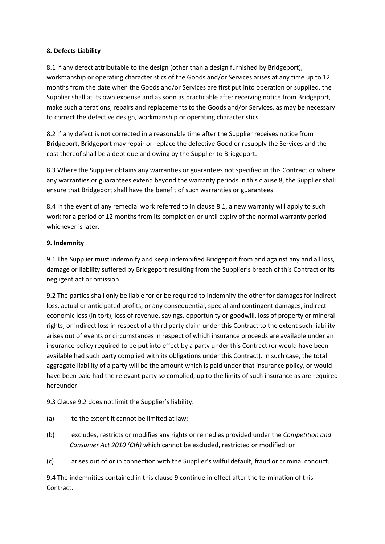### **8. Defects Liability**

8.1 If any defect attributable to the design (other than a design furnished by Bridgeport), workmanship or operating characteristics of the Goods and/or Services arises at any time up to 12 months from the date when the Goods and/or Services are first put into operation or supplied, the Supplier shall at its own expense and as soon as practicable after receiving notice from Bridgeport, make such alterations, repairs and replacements to the Goods and/or Services, as may be necessary to correct the defective design, workmanship or operating characteristics.

8.2 If any defect is not corrected in a reasonable time after the Supplier receives notice from Bridgeport, Bridgeport may repair or replace the defective Good or resupply the Services and the cost thereof shall be a debt due and owing by the Supplier to Bridgeport.

8.3 Where the Supplier obtains any warranties or guarantees not specified in this Contract or where any warranties or guarantees extend beyond the warranty periods in this clause 8, the Supplier shall ensure that Bridgeport shall have the benefit of such warranties or guarantees.

8.4 In the event of any remedial work referred to in clause 8.1, a new warranty will apply to such work for a period of 12 months from its completion or until expiry of the normal warranty period whichever is later.

### **9. Indemnity**

9.1 The Supplier must indemnify and keep indemnified Bridgeport from and against any and all loss, damage or liability suffered by Bridgeport resulting from the Supplier's breach of this Contract or its negligent act or omission.

9.2 The parties shall only be liable for or be required to indemnify the other for damages for indirect loss, actual or anticipated profits, or any consequential, special and contingent damages, indirect economic loss (in tort), loss of revenue, savings, opportunity or goodwill, loss of property or mineral rights, or indirect loss in respect of a third party claim under this Contract to the extent such liability arises out of events or circumstances in respect of which insurance proceeds are available under an insurance policy required to be put into effect by a party under this Contract (or would have been available had such party complied with its obligations under this Contract). In such case, the total aggregate liability of a party will be the amount which is paid under that insurance policy, or would have been paid had the relevant party so complied, up to the limits of such insurance as are required hereunder.

9.3 Clause 9.2 does not limit the Supplier's liability:

- (a) to the extent it cannot be limited at law;
- (b) excludes, restricts or modifies any rights or remedies provided under the *Competition and Consumer Act 2010 (Cth)* which cannot be excluded, restricted or modified; or
- (c) arises out of or in connection with the Supplier's wilful default, fraud or criminal conduct.

9.4 The indemnities contained in this clause 9 continue in effect after the termination of this Contract.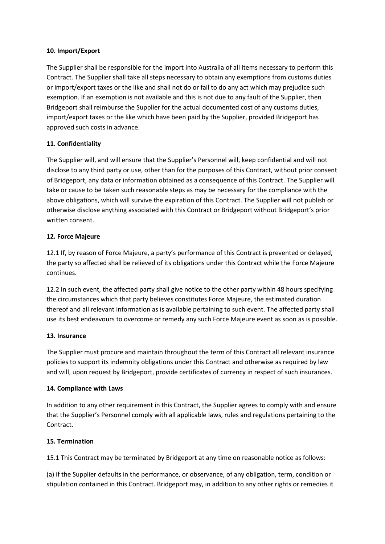### **10. Import/Export**

The Supplier shall be responsible for the import into Australia of all items necessary to perform this Contract. The Supplier shall take all steps necessary to obtain any exemptions from customs duties or import/export taxes or the like and shall not do or fail to do any act which may prejudice such exemption. If an exemption is not available and this is not due to any fault of the Supplier, then Bridgeport shall reimburse the Supplier for the actual documented cost of any customs duties, import/export taxes or the like which have been paid by the Supplier, provided Bridgeport has approved such costs in advance.

# **11. Confidentiality**

The Supplier will, and will ensure that the Supplier's Personnel will, keep confidential and will not disclose to any third party or use, other than for the purposes of this Contract, without prior consent of Bridgeport, any data or information obtained as a consequence of this Contract. The Supplier will take or cause to be taken such reasonable steps as may be necessary for the compliance with the above obligations, which will survive the expiration of this Contract. The Supplier will not publish or otherwise disclose anything associated with this Contract or Bridgeport without Bridgeport's prior written consent.

# **12. Force Majeure**

12.1 If, by reason of Force Majeure, a party's performance of this Contract is prevented or delayed, the party so affected shall be relieved of its obligations under this Contract while the Force Majeure continues.

12.2 In such event, the affected party shall give notice to the other party within 48 hours specifying the circumstances which that party believes constitutes Force Majeure, the estimated duration thereof and all relevant information as is available pertaining to such event. The affected party shall use its best endeavours to overcome or remedy any such Force Majeure event as soon as is possible.

# **13. Insurance**

The Supplier must procure and maintain throughout the term of this Contract all relevant insurance policies to support its indemnity obligations under this Contract and otherwise as required by law and will, upon request by Bridgeport, provide certificates of currency in respect of such insurances.

#### **14. Compliance with Laws**

In addition to any other requirement in this Contract, the Supplier agrees to comply with and ensure that the Supplier's Personnel comply with all applicable laws, rules and regulations pertaining to the Contract.

# **15. Termination**

15.1 This Contract may be terminated by Bridgeport at any time on reasonable notice as follows:

(a) if the Supplier defaults in the performance, or observance, of any obligation, term, condition or stipulation contained in this Contract. Bridgeport may, in addition to any other rights or remedies it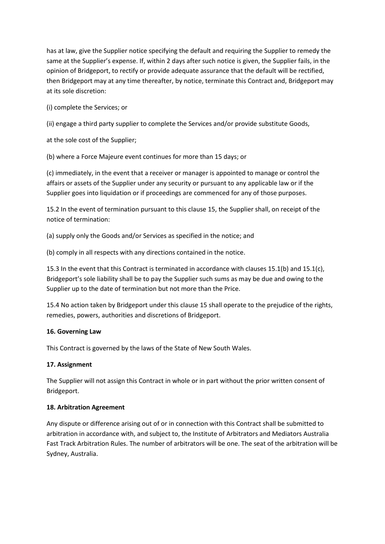has at law, give the Supplier notice specifying the default and requiring the Supplier to remedy the same at the Supplier's expense. If, within 2 days after such notice is given, the Supplier fails, in the opinion of Bridgeport, to rectify or provide adequate assurance that the default will be rectified, then Bridgeport may at any time thereafter, by notice, terminate this Contract and, Bridgeport may at its sole discretion:

(i) complete the Services; or

(ii) engage a third party supplier to complete the Services and/or provide substitute Goods,

at the sole cost of the Supplier;

(b) where a Force Majeure event continues for more than 15 days; or

(c) immediately, in the event that a receiver or manager is appointed to manage or control the affairs or assets of the Supplier under any security or pursuant to any applicable law or if the Supplier goes into liquidation or if proceedings are commenced for any of those purposes.

15.2 In the event of termination pursuant to this clause 15, the Supplier shall, on receipt of the notice of termination:

(a) supply only the Goods and/or Services as specified in the notice; and

(b) comply in all respects with any directions contained in the notice.

15.3 In the event that this Contract is terminated in accordance with clauses 15.1(b) and 15.1(c), Bridgeport's sole liability shall be to pay the Supplier such sums as may be due and owing to the Supplier up to the date of termination but not more than the Price.

15.4 No action taken by Bridgeport under this clause 15 shall operate to the prejudice of the rights, remedies, powers, authorities and discretions of Bridgeport.

# **16. Governing Law**

This Contract is governed by the laws of the State of New South Wales.

# **17. Assignment**

The Supplier will not assign this Contract in whole or in part without the prior written consent of Bridgeport.

# **18. Arbitration Agreement**

Any dispute or difference arising out of or in connection with this Contract shall be submitted to arbitration in accordance with, and subject to, the Institute of Arbitrators and Mediators Australia Fast Track Arbitration Rules. The number of arbitrators will be one. The seat of the arbitration will be Sydney, Australia.